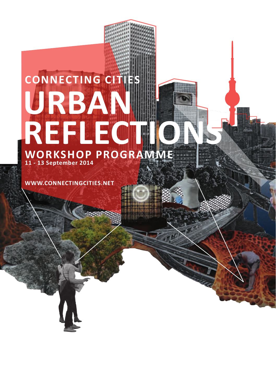# **CONNECTING CITIES WORKSHOP PROGRAMME 11 - 13 September 2014 URBAN REFLECTION**

**WWW.CONNECTINGCITIES.NET**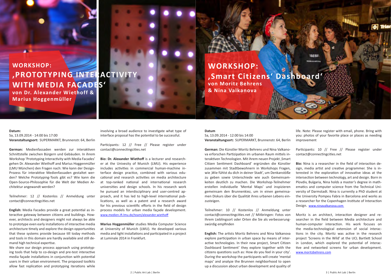## **WORKSHOP: 'PROTOTYPING INTERACTIVITY WITH MEDIA FACADES'**

**von Dr. Alexander Wiethoff & Marius Hoggenmüller**

### **Datum:**

Sa, 13.09.2014 - 14:00 bis 17:00 **Veranstaltungsort:** SUPERMARKT, Brunnenstr. 64, Berlin

**German:** Medienfassaden werden zur interaktiven Schnittstelle zwischen Bürgern und Gebäuden. In ihrem Workshop 'Prototyping Interactivity with Media Facades' gehen Dr. Alexander Wiethoff and Marius Hoggenmüller (LMU München) den Fragen nach: Wie kann der Design-Prozess für interaktive Medienfassaden gestaltet werden? Welche Prototyping-Tools gibt es? Wie kann die Open-Source-Philosophie für die Welt der Medien Architektur angewandt werden?

Teilnehmer: 12 // Kostenlos // Anmeldung unter contact@connectingcities.net

**English:** Media Facades provide a great potential as interactive gateway between citizens and buildings. However, architects and designers might not always be able to prototype even early installations of interactive media architecture timely and explore the design opportunities that these systems provide because till today methods and tools in this domain are hardly available and still demand high technical expertise.

We share our design process approach using prototyping tools that help to co-design and pre-test interactive media façade installations in conjunction with potential users in their urban environment. The proposed toolkits allow fast replication and prototyping iterations while involving a broad audience to investigate what type of interface proposal has the potential to be successful.

Participants: 12 // Free // Please register under contact@connectingcities.net

**Bio: Dr. Alexander Wiethoff** is a lecturer and researcher at the Univesity of Munich (LMU). His experience includes activities in commercial human-machine interface design practice, combined with various educational and research activities on media architecture at top-ranked national and international research universities and design schools. In his research work he pursued an interdisciplinary and user-centred approach, and it has led to high-level international publications, as well as a patent and a research award for his previous scientific efforts in the field of design process models for urban media façade development. www.medien.ifi.lmu.de/team/alexander.wiethoff

**Marius Hoggenmüller** studies Media Computer Science at University of Munich (LMU). He developed various media and light installations and participated in a project at Luminale 2014 in Frankfurt.

**WORKSHOP: 'Smart Citizens' Dashboard' von Moritz Behrens & Nina Valkanova**

### **Datum**

Sa, 13.09.2014 - 12:00 bis 14:00 **Veranstaltungsort:** SUPERMARKT, Brunnenstr. 64, Berlin

**German:** Die Künstler Moritz Behrens und Nina Valkanova erforschen Partizipation im urbanen Raum mittels interaktiven Technologien. Mit ihrem neuen Projekt, Smart Citizen Sentiment Dashboard' ergründen die Künstler zusammen mit Stadtbewohnern in Workshops Fragen, wie 'Wie fühlst du dich in deiner Stadt', um Denkanstöße zu geben sowie Unterschiede wie auch Gemeinsamkeiten deutlich zu machen. Die Workshop-Teilnehmer erstellen individuelle 'Mental Maps' und inspizieren gemeinsam den Brunnenkiez, um in einen gemeinsamen Diskurs über die Qualität ihres urbanen Lebens einzusteigen.

Teilnehmer: 10 // Kostenlos // Anmeldung unter contact@connectingcities.net // Mitbringen: Fotos von Ihrem Lieblingsort oder Orten die Sie als verbesserungswürdig empfinden

**English:** The artists Moritz Behrens and Nina Valkanova explore participation in urban space by means of interactive technologies. In their new project, Smart Citizen Dashboard Sentiment' they explore together with the citizens questions such as: How do you feel in your city'. During the workshop the participants will create 'mental maps' and analyze the Brunnen neighborhood to open up a discussion about urban development and quality of

life. Note: Please register with email, phone. Bring with you: photos of your favorite place or places as needing improvement

 $\sigma$ 

Participants: 10 // Free // Please register under contact@connectingcities.net

**Bio:** Nina is a researcher in the field of interaction design, media artist and creative programmer. She is interested in the exploration of innovative ideas at the intersection between technology, art and design. Born in Plovdiv, Bulgaria, Nina holds a master's degree in mathematics and computer science from the Technical University of Darmstadt. Nina is currently a PhD student at the University Pompeu Fabra in Barcelona and works as a researcher for the Copenhagen Institute of Interaction Design. www.ninavalkanova.com

Moritz is an architect, interaction designer and researcher in the field between Media architecture and human-computer interaction. His work focuses on the media-technological extension of social interactions in the city. Moritz was active in the research project 'Screens in the Wild' at the UCL Bartlett School in London, which explored the potential of interactive and networked screens for urban development. www.moritzbehrens.com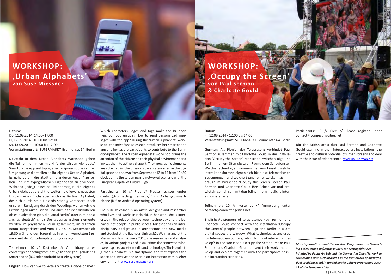### **WORKSHOP: 'Urban Alphabets' von Suse Miessner**

**WORKSHOP: , Occupy the Scree von Paul Sermon & Charlotte Gould**

### **Datum:**

Do, 11.09.2014 14.00- 17.00 Fr, 12.09.2014 - 10:00 bis 12:00 Sa, 13.09.2014 - 10:00 bis 12:00 **Veranstaltungsort:** SUPERMARKT, Brunnenstr. 64, Berlin

**Deutsch:** In dem Urban Alphabets Workshop gehen die Teilnehmer innen mit Hilfe der ,Urban Alphabets' Smartphone App auf typografische Spurensuche in ihrer Umgebung und erstellen so ihr eigenes Urban Alphabet. Es geht darum die Stadt "mit anderen Augen" zu sehen und ihre typografischen Eigenheiten zu erkunden. Während jede r einzelne Teilnehmer in ein eigenes Urban Alphabet erstellt, erweitern die jeweils neuesten Uploads eines Buchstaben auch das Berliner Alphabet, das sich durch neue Uploads ständig verändert. Nach unserem Rundgang durch den Wedding, wollen wir die Erfahrungen austauschen und auch darüber diskutieren ob es Buchstaben gibt, die "total Berlin" oder zumindest "richtig deutsch" sind? Die typographischen Elemente werden im physischen Raum gesammelt, im digitalen Raum kategorisiert und vom 11. bis 14. September ab 19:30 während der Screenings in einem vernetzten Szenario mit der Kulturhauptstadt Riga gezeigt.

Teilnehmer: 10 // Kostenlos // Anmeldung unter contact@connectingcities.net // Mitbringen: geladenes Smartphone (iOS oder Android Betriebssystem)

**English:** How can we collectively create a city-alphabet?

Which characters, logos and tags make the Brunnen neighborhood unique? How to send personalized messages with the app? During the 'Urban Alphabets' Workshop, the artist Suse Miessner introduces her smartphone app and invites the participants to contribute to the Berlin city-alphabet. The 'Urban Alphabets' workshop draws the attention of the citizens to their physical environment and invites them to actively shape it. The typographic elements are collected in the physical space, categorized in the digital space and shown from September 12 to 14 from 19h30 clock during the screening in a netwoked scenario with the European Capital of Culture Riga.

Participants: 10 // Free // Please register under contact@connectingcities.net // Bring: A charged smartphone (iOS or Android operating system)

**Bio** Suse Miessner is an artist, designer and researcher who lives and works in Helsinki. In her work she is interested in the relationship between technology and the behaviour of people in public spaces. Miessner has an interdisciplinary background in architecture and new media and studied at the Bauhaus-Universität Weimar and at the Media Lab Helsinki. Since 2010, she researches and analyzes, in various projects and installations the connections between space, society, media and technology. Their project, 'Urban Alphabets' is a smartphone app that explores the space and involves the user in an interaction with his/her environment. www.susemiessner.org

### **Datum:**

### Fr, 12.09.2014 - 12:00 bis 14:00 **Veranstaltungsort:** SUPERMARKT, Brunnenstr. 64, Berlin

**German:** Als Pionier der Telepräsenz verbindet Paul Sermon zusammen mit Charlotte Gould in der Installation 'Occupy the Screen' Menschen zwischen Riga und Berlin in einem 3ten digitalen Raum: dem Schaufenster. Welche Technologien kommen hier zum Einsatz, welche Interaktionsformen eignen sich für diese telematischen Begegnungen und welche Szenarien entwickeln sich hieraus? Im Workshop 'Occupy the Screen' stellen Paul Sermon und Charlotte Gould ihre Arbeit vor und entwickeln gemeinsam mit den Teilnehmern mögliche Interaktionsszenarien.

Teilnehmer: 10 // Kostenlos // Anmeldung unter contact@connectingcities.net

**English:** As pioneers of telepresence Paul Sermon and Charlotte Gould connect with the installation 'Occupy the Screen' people between Riga and Berlin in a 3rd digital space: the window. What technologies are used for telematic encounters, which forms of interaction develop? In the workshop 'Occupy the Screen' make Paul Sermon and Charlotte Gould present their work and develop and explore together with the participants possible interaction scenarios.

Participants: 10 // Free // Please register under contact@connectingcities.net

**Bio** The British artist duo Paul Sermon and Charlotte Gould examine in their interactive art installations, the creative and cultural potential of urban screens and deal with the issue of telepresence. www.paulsermon.org

*More information about the worshop Programme and Connecting Cities: Urban Reflections: www.connectingcities.net Initiated by Public Art Lab and the Connecting Cities Network in cooperation with SUPERMARKT in the framework of Kulturfestival Wedding Moabit, funded by the Culture Programme 2007- 13 of the European Union*